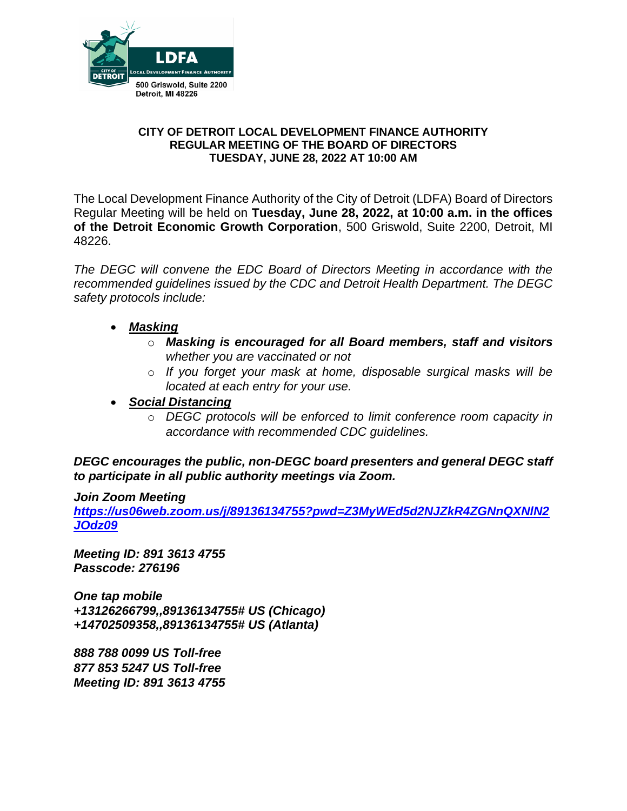

### **CITY OF DETROIT LOCAL DEVELOPMENT FINANCE AUTHORITY REGULAR MEETING OF THE BOARD OF DIRECTORS TUESDAY, JUNE 28, 2022 AT 10:00 AM**

The Local Development Finance Authority of the City of Detroit (LDFA) Board of Directors Regular Meeting will be held on **Tuesday, June 28, 2022, at 10:00 a.m. in the offices of the Detroit Economic Growth Corporation**, 500 Griswold, Suite 2200, Detroit, MI 48226.

*The DEGC will convene the EDC Board of Directors Meeting in accordance with the recommended guidelines issued by the CDC and Detroit Health Department. The DEGC safety protocols include:*

- *Masking*
	- o *Masking is encouraged for all Board members, staff and visitors whether you are vaccinated or not*
	- o *If you forget your mask at home, disposable surgical masks will be located at each entry for your use.*
- *Social Distancing* 
	- o *DEGC protocols will be enforced to limit conference room capacity in accordance with recommended CDC guidelines.*

*DEGC encourages the public, non-DEGC board presenters and general DEGC staff to participate in all public authority meetings via Zoom.* 

# *Join Zoom Meeting*

*[https://us06web.zoom.us/j/89136134755?pwd=Z3MyWEd5d2NJZkR4ZGNnQXNlN2](https://us06web.zoom.us/j/89136134755?pwd=Z3MyWEd5d2NJZkR4ZGNnQXNlN2JOdz09) [JOdz09](https://us06web.zoom.us/j/89136134755?pwd=Z3MyWEd5d2NJZkR4ZGNnQXNlN2JOdz09)*

*Meeting ID: 891 3613 4755 Passcode: 276196* 

*One tap mobile +13126266799,,89136134755# US (Chicago) +14702509358,,89136134755# US (Atlanta)* 

*888 788 0099 US Toll-free 877 853 5247 US Toll-free Meeting ID: 891 3613 4755*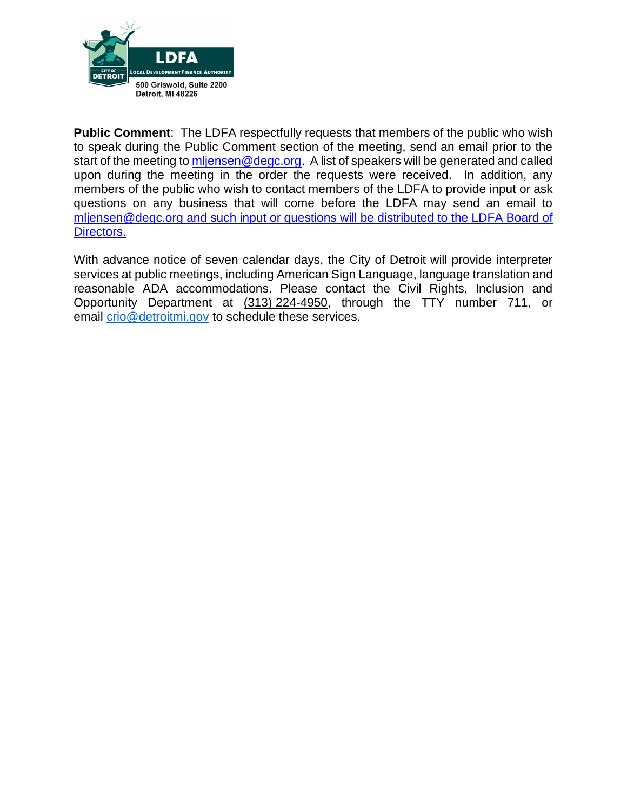

**Public Comment**: The LDFA respectfully requests that members of the public who wish to speak during the Public Comment section of the meeting, send an email prior to the start of the meeting to [mljensen@degc.org.](mailto:mljensen@degc.org) A list of speakers will be generated and called upon during the meeting in the order the requests were received. In addition, any members of the public who wish to contact members of the LDFA to provide input or ask questions on any business that will come before the LDFA may send an email to [mljensen@degc.org](mailto:mljensen@degc.org) and such input or questions will be distributed to the LDFA Board of Directors.

With advance notice of seven calendar days, the City of Detroit will provide interpreter services at public meetings, including American Sign Language, language translation and reasonable ADA accommodations. Please contact the Civil Rights, Inclusion and Opportunity Department at (313) 224-4950, through the TTY number 711, or email [crio@detroitmi.gov](mailto:crio@detroitmi.gov) to schedule these services.